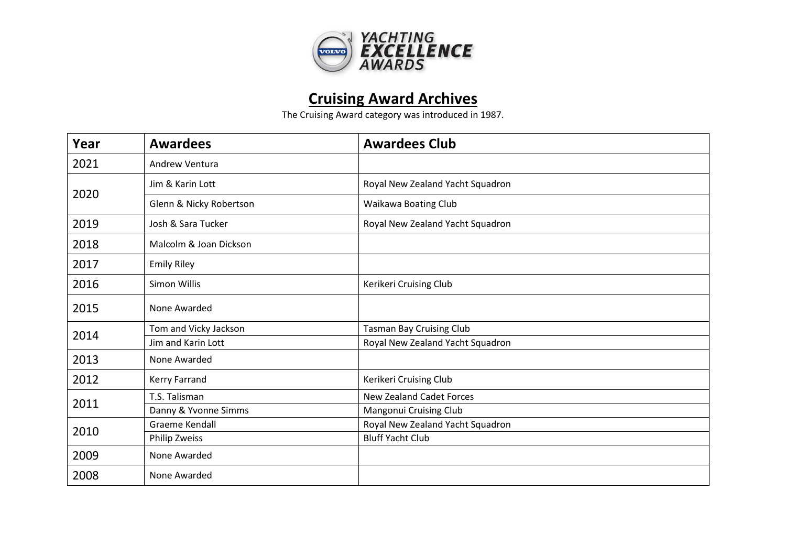

## **Cruising Award Archives**

The Cruising Award category was introduced in 1987.

| Year | <b>Awardees</b>         | <b>Awardees Club</b>             |
|------|-------------------------|----------------------------------|
| 2021 | Andrew Ventura          |                                  |
| 2020 | Jim & Karin Lott        | Royal New Zealand Yacht Squadron |
|      | Glenn & Nicky Robertson | Waikawa Boating Club             |
| 2019 | Josh & Sara Tucker      | Royal New Zealand Yacht Squadron |
| 2018 | Malcolm & Joan Dickson  |                                  |
| 2017 | <b>Emily Riley</b>      |                                  |
| 2016 | Simon Willis            | Kerikeri Cruising Club           |
| 2015 | None Awarded            |                                  |
| 2014 | Tom and Vicky Jackson   | <b>Tasman Bay Cruising Club</b>  |
|      | Jim and Karin Lott      | Royal New Zealand Yacht Squadron |
| 2013 | None Awarded            |                                  |
| 2012 | Kerry Farrand           | Kerikeri Cruising Club           |
| 2011 | T.S. Talisman           | <b>New Zealand Cadet Forces</b>  |
|      | Danny & Yvonne Simms    | Mangonui Cruising Club           |
| 2010 | <b>Graeme Kendall</b>   | Royal New Zealand Yacht Squadron |
|      | Philip Zweiss           | <b>Bluff Yacht Club</b>          |
| 2009 | None Awarded            |                                  |
| 2008 | None Awarded            |                                  |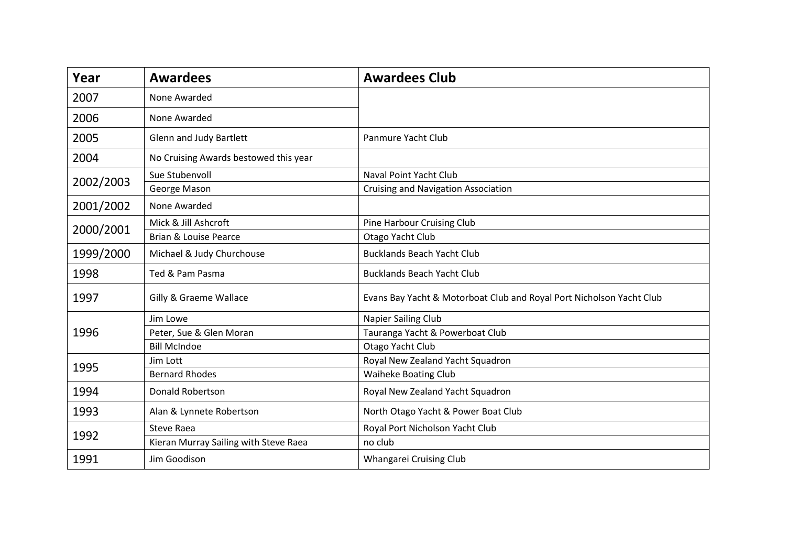| Year      | <b>Awardees</b>                       | <b>Awardees Club</b>                                                 |
|-----------|---------------------------------------|----------------------------------------------------------------------|
| 2007      | None Awarded                          |                                                                      |
| 2006      | None Awarded                          |                                                                      |
| 2005      | Glenn and Judy Bartlett               | Panmure Yacht Club                                                   |
| 2004      | No Cruising Awards bestowed this year |                                                                      |
| 2002/2003 | Sue Stubenvoll                        | Naval Point Yacht Club                                               |
|           | George Mason                          | <b>Cruising and Navigation Association</b>                           |
| 2001/2002 | None Awarded                          |                                                                      |
| 2000/2001 | Mick & Jill Ashcroft                  | Pine Harbour Cruising Club                                           |
|           | Brian & Louise Pearce                 | Otago Yacht Club                                                     |
| 1999/2000 | Michael & Judy Churchouse             | <b>Bucklands Beach Yacht Club</b>                                    |
| 1998      | Ted & Pam Pasma                       | <b>Bucklands Beach Yacht Club</b>                                    |
| 1997      | Gilly & Graeme Wallace                | Evans Bay Yacht & Motorboat Club and Royal Port Nicholson Yacht Club |
| 1996      | Jim Lowe                              | Napier Sailing Club                                                  |
|           | Peter, Sue & Glen Moran               | Tauranga Yacht & Powerboat Club                                      |
|           | <b>Bill McIndoe</b>                   | Otago Yacht Club                                                     |
| 1995      | Jim Lott                              | Royal New Zealand Yacht Squadron                                     |
|           | <b>Bernard Rhodes</b>                 | <b>Waiheke Boating Club</b>                                          |
| 1994      | <b>Donald Robertson</b>               | Royal New Zealand Yacht Squadron                                     |
| 1993      | Alan & Lynnete Robertson              | North Otago Yacht & Power Boat Club                                  |
| 1992      | <b>Steve Raea</b>                     | Royal Port Nicholson Yacht Club                                      |
|           | Kieran Murray Sailing with Steve Raea | no club                                                              |
| 1991      | Jim Goodison                          | Whangarei Cruising Club                                              |